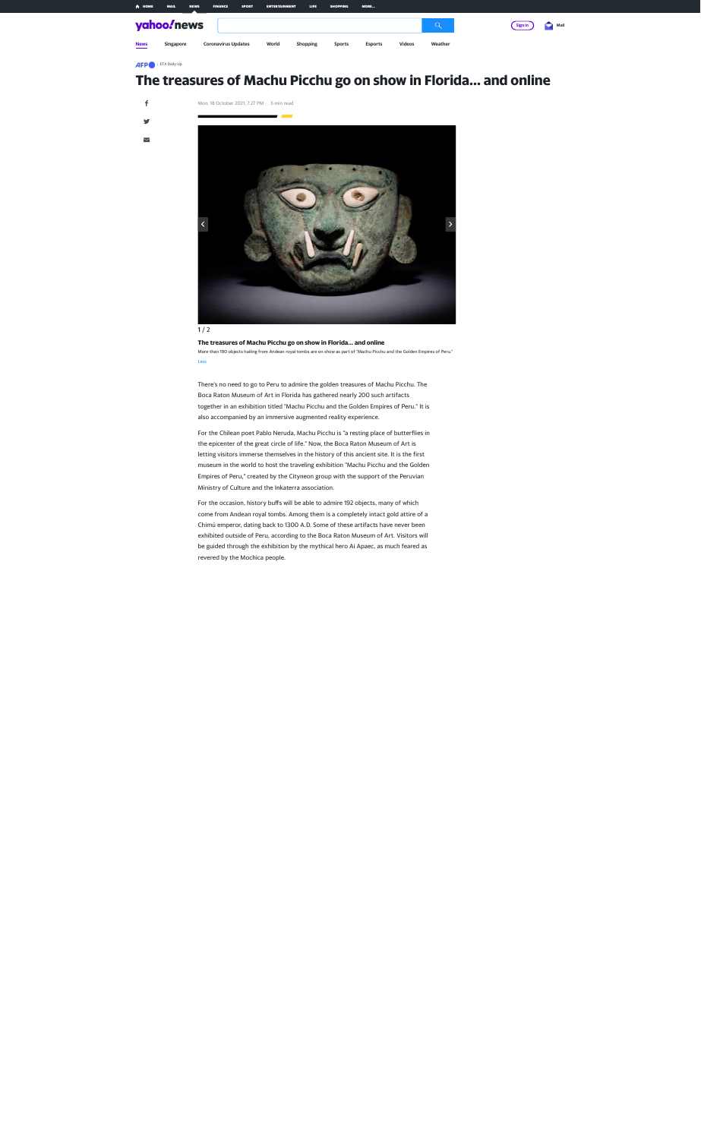## **The treasures of Machu Picchu go on show in Florida... and online**



### $1/2$

#### **The treasures of Machu Picchu go on show in Florida... and online**

More than 190 objects hailing from Andean royal tombs are on show as part of "Machu Picchu and the Golden Empires of Peru." Less

There's no need to go to Peru to admire the golden treasures of Machu Picchu. The Boca Raton Museum of Art in Florida has gathered nearly 200 such artifacts together in an exhibition titled "Machu Picchu and the Golden Empires of Peru." It is also accompanied by an immersive augmented reality experience.

For the Chilean poet Pablo Neruda, Machu Picchu is "a resting place of butterflies in the epicenter of the great circle of life." Now, the Boca Raton Museum of Art is letting visitors immerse themselves in the history of this ancient site. It is the first museum in the world to host the traveling exhibition "Machu Picchu and the Golden Empires of Peru," created by the Cityneon group with the support of the Peruvian Ministry of Culture and the Inkaterra association.

For the occasion, history buffs will be able to admire 192 objects, many of which come from Andean royal tombs. Among them is a completely intact gold attire of a Chimú emperor, dating back to 1300 A.D. Some of these artifacts have never been exhibited outside of Peru, according to the Boca Raton Museum of Art. Visitors will be guided through the exhibition by the mythical hero Ai Apaec, as much feared as revered by the Mochica people.



**AFP** | ETX Daily Up